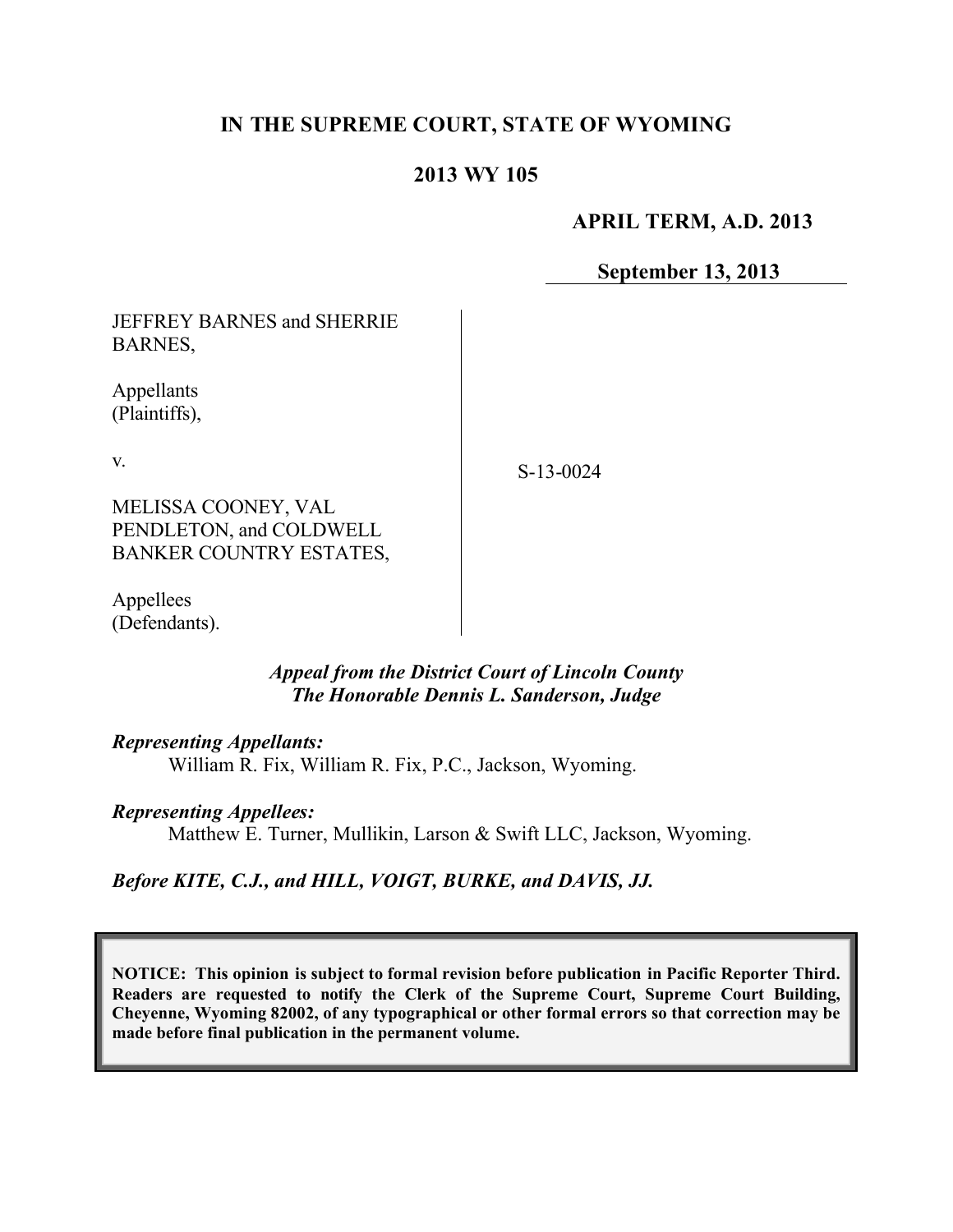# **IN THE SUPREME COURT, STATE OF WYOMING**

## **2013 WY 105**

#### **APRIL TERM, A.D. 2013**

**September 13, 2013**

JEFFREY BARNES and SHERRIE BARNES,

Appellants (Plaintiffs),

v.

S-13-0024

MELISSA COONEY, VAL PENDLETON, and COLDWELL BANKER COUNTRY ESTATES,

Appellees (Defendants).

### *Appeal from the District Court of Lincoln County The Honorable Dennis L. Sanderson, Judge*

#### *Representing Appellants:*

William R. Fix, William R. Fix, P.C., Jackson, Wyoming.

#### *Representing Appellees:*

Matthew E. Turner, Mullikin, Larson & Swift LLC, Jackson, Wyoming.

*Before KITE, C.J., and HILL, VOIGT, BURKE, and DAVIS, JJ.*

**NOTICE: This opinion is subject to formal revision before publication in Pacific Reporter Third. Readers are requested to notify the Clerk of the Supreme Court, Supreme Court Building, Cheyenne, Wyoming 82002, of any typographical or other formal errors so that correction may be made before final publication in the permanent volume.**